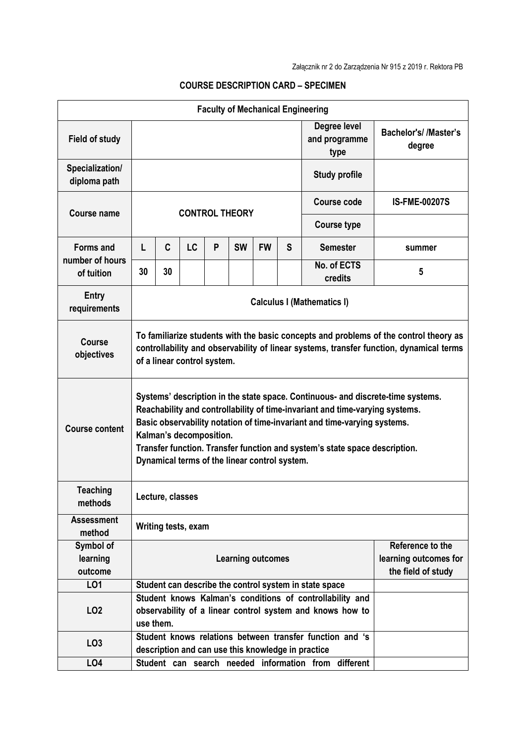| <b>Faculty of Mechanical Engineering</b>          |                                                                                                                                                                                                                                                                                                                                                                                                       |                                                                                                                |    |   |           |           |                                       |                                                                 |                      |  |
|---------------------------------------------------|-------------------------------------------------------------------------------------------------------------------------------------------------------------------------------------------------------------------------------------------------------------------------------------------------------------------------------------------------------------------------------------------------------|----------------------------------------------------------------------------------------------------------------|----|---|-----------|-----------|---------------------------------------|-----------------------------------------------------------------|----------------------|--|
| <b>Field of study</b>                             |                                                                                                                                                                                                                                                                                                                                                                                                       |                                                                                                                |    |   |           |           | Degree level<br>and programme<br>type | <b>Bachelor's//Master's</b><br>degree                           |                      |  |
| Specialization/<br>diploma path                   |                                                                                                                                                                                                                                                                                                                                                                                                       |                                                                                                                |    |   |           |           |                                       | <b>Study profile</b>                                            |                      |  |
| <b>Course name</b>                                | <b>CONTROL THEORY</b>                                                                                                                                                                                                                                                                                                                                                                                 |                                                                                                                |    |   |           |           |                                       | Course code                                                     | <b>IS-FME-00207S</b> |  |
|                                                   |                                                                                                                                                                                                                                                                                                                                                                                                       |                                                                                                                |    |   |           |           |                                       | <b>Course type</b>                                              |                      |  |
| <b>Forms and</b><br>number of hours<br>of tuition | L                                                                                                                                                                                                                                                                                                                                                                                                     | C                                                                                                              | LC | P | <b>SW</b> | <b>FW</b> | S                                     | <b>Semester</b>                                                 | summer               |  |
|                                                   | 30                                                                                                                                                                                                                                                                                                                                                                                                    | 30                                                                                                             |    |   |           |           |                                       | No. of ECTS<br>credits                                          | 5                    |  |
| <b>Entry</b><br>requirements                      | <b>Calculus I (Mathematics I)</b>                                                                                                                                                                                                                                                                                                                                                                     |                                                                                                                |    |   |           |           |                                       |                                                                 |                      |  |
| <b>Course</b><br>objectives                       | To familiarize students with the basic concepts and problems of the control theory as<br>controllability and observability of linear systems, transfer function, dynamical terms<br>of a linear control system.                                                                                                                                                                                       |                                                                                                                |    |   |           |           |                                       |                                                                 |                      |  |
| <b>Course content</b>                             | Systems' description in the state space. Continuous- and discrete-time systems.<br>Reachability and controllability of time-invariant and time-varying systems.<br>Basic observability notation of time-invariant and time-varying systems.<br>Kalman's decomposition.<br>Transfer function. Transfer function and system's state space description.<br>Dynamical terms of the linear control system. |                                                                                                                |    |   |           |           |                                       |                                                                 |                      |  |
| <b>Teaching</b><br>methods                        | Lecture, classes                                                                                                                                                                                                                                                                                                                                                                                      |                                                                                                                |    |   |           |           |                                       |                                                                 |                      |  |
| <b>Assessment</b><br>method                       | Writing tests, exam                                                                                                                                                                                                                                                                                                                                                                                   |                                                                                                                |    |   |           |           |                                       |                                                                 |                      |  |
| Symbol of<br>learning<br>outcome                  | <b>Learning outcomes</b>                                                                                                                                                                                                                                                                                                                                                                              |                                                                                                                |    |   |           |           |                                       | Reference to the<br>learning outcomes for<br>the field of study |                      |  |
| L01                                               |                                                                                                                                                                                                                                                                                                                                                                                                       |                                                                                                                |    |   |           |           |                                       |                                                                 |                      |  |
| LO <sub>2</sub>                                   | Student can describe the control system in state space<br>Student knows Kalman's conditions of controllability and<br>observability of a linear control system and knows how to<br>use them.                                                                                                                                                                                                          |                                                                                                                |    |   |           |           |                                       |                                                                 |                      |  |
| LO <sub>3</sub>                                   |                                                                                                                                                                                                                                                                                                                                                                                                       | Student knows relations between transfer function and 's<br>description and can use this knowledge in practice |    |   |           |           |                                       |                                                                 |                      |  |
| LO4                                               |                                                                                                                                                                                                                                                                                                                                                                                                       |                                                                                                                |    |   |           |           |                                       | Student can search needed information from different            |                      |  |

## **COURSE DESCRIPTION CARD – SPECIMEN**